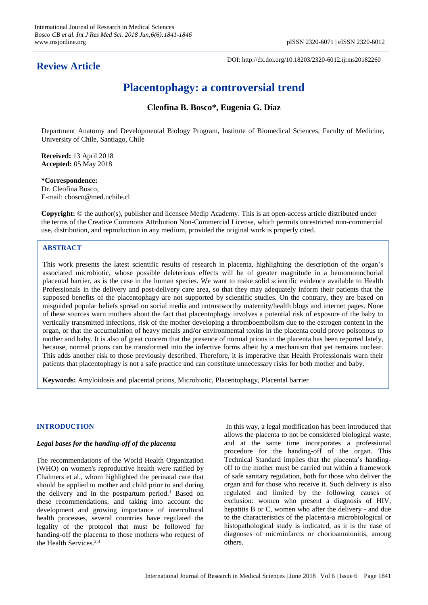## **Review Article**

DOI: http://dx.doi.org/10.18203/2320-6012.ijrms20182260

# **Placentophagy: a controversial trend**

### **Cleofina B. Bosco\*, Eugenia G. Díaz**

Department Anatomy and Developmental Biology Program, Institute of Biomedical Sciences, Faculty of Medicine, University of Chile, Santiago, Chile

**Received:** 13 April 2018 **Accepted:** 05 May 2018

**\*Correspondence:** Dr. Cleofina Bosco, E-mail: cbosco@med.uchile.cl

**Copyright:** © the author(s), publisher and licensee Medip Academy. This is an open-access article distributed under the terms of the Creative Commons Attribution Non-Commercial License, which permits unrestricted non-commercial use, distribution, and reproduction in any medium, provided the original work is properly cited.

#### **ABSTRACT**

This work presents the latest scientific results of research in placenta, highlighting the description of the organ's associated microbiotic, whose possible deleterious effects will be of greater magnitude in a hemomonochorial placental barrier, as is the case in the human species. We want to make solid scientific evidence available to Health Professionals in the delivery and post-delivery care area, so that they may adequately inform their patients that the supposed benefits of the placentophagy are not supported by scientific studies. On the contrary, they are based on misguided popular beliefs spread on social media and untrustworthy maternity/health blogs and internet pages. None of these sources warn mothers about the fact that placentophagy involves a potential risk of exposure of the baby to vertically transmitted infections, risk of the mother developing a thromboembolism due to the estrogen content in the organ, or that the accumulation of heavy metals and/or environmental toxins in the placenta could prove poisonous to mother and baby. It is also of great concern that the presence of normal prions in the placenta has been reported lately, because, normal prions can be transformed into the infective forms albeit by a mechanism that yet remains unclear. This adds another risk to those previously described. Therefore, it is imperative that Health Professionals warn their patients that placentophagy is not a safe practice and can constitute unnecessary risks for both mother and baby.

**Keywords:** Amyloidosis and placental prions, Microbiotic, Placentophagy, Placental barrier

#### **INTRODUCTION**

#### *Legal bases for the handing-off of the placenta*

The recommendations of the World Health Organization (WHO) on women's reproductive health were ratified by Chalmers et al., whom highlighted the perinatal care that should be applied to mother and child prior to and during the delivery and in the postpartum period.<sup>1</sup> Based on these recommendations, and taking into account the development and growing importance of intercultural health processes, several countries have regulated the legality of the protocol that must be followed for handing-off the placenta to those mothers who request of the Health Services.<sup>2,3</sup>

In this way, a legal modification has been introduced that allows the placenta to not be considered biological waste, and at the same time incorporates a professional procedure for the handing-off of the organ. This Technical Standard implies that the placenta's handingoff to the mother must be carried out within a framework of safe sanitary regulation, both for those who deliver the organ and for those who receive it. Such delivery is also regulated and limited by the following causes of exclusion: women who present a diagnosis of HIV, hepatitis B or C, women who after the delivery - and due to the characteristics of the placenta-a microbiological or histopathological study is indicated, as it is the case of diagnoses of microinfarcts or chorioamnionitis, among others.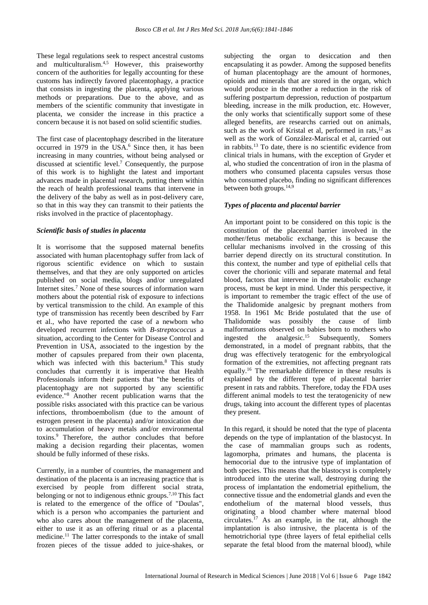These legal regulations seek to respect ancestral customs and multiculturalism. 4,5 However, this praiseworthy concern of the authorities for legally accounting for these customs has indirectly favored placentophagy, a practice that consists in ingesting the placenta, applying various methods or preparations. Due to the above, and as members of the scientific community that investigate in placenta, we consider the increase in this practice a concern because it is not based on solid scientific studies.

The first case of placentophagy described in the literature occurred in 1979 in the USA.<sup>6</sup> Since then, it has been increasing in many countries, without being analysed or discussed at scientific level.<sup>7</sup> Consequently, the purpose of this work is to highlight the latest and important advances made in placental research, putting them within the reach of health professional teams that intervene in the delivery of the baby as well as in post-delivery care, so that in this way they can transmit to their patients the risks involved in the practice of placentophagy.

#### *Scientific basis of studies in placenta*

It is worrisome that the supposed maternal benefits associated with human placentophagy suffer from lack of rigorous scientific evidence on which to sustain themselves, and that they are only supported on articles published on social media, blogs and/or unregulated Internet sites.<sup>7</sup> None of these sources of information warn mothers about the potential risk of exposure to infections by vertical transmission to the child. An example of this type of transmission has recently been described by Farr et al., who have reported the case of a newborn who developed recurrent infections with *B-streptococcus* a situation, according to the Center for Disease Control and Prevention in USA, associated to the ingestion by the mother of capsules prepared from their own placenta, which was infected with this bacterium.<sup>8</sup> This study concludes that currently it is imperative that Health Professionals inform their patients that "the benefits of placentophagy are not supported by any scientific evidence."<sup>8</sup> Another recent publication warns that the possible risks associated with this practice can be various infections, thromboembolism (due to the amount of estrogen present in the placenta) and/or intoxication due to accumulation of heavy metals and/or environmental toxins.<sup>9</sup> Therefore, the author concludes that before making a decision regarding their placentas, women should be fully informed of these risks.

Currently, in a number of countries, the management and destination of the placenta is an increasing practice that is exercised by people from different social strata, belonging or not to indigenous ethnic groups.7,10 This fact is related to the emergence of the office of "Doulas", which is a person who accompanies the parturient and who also cares about the management of the placenta, either to use it as an offering ritual or as a placental medicine.<sup>11</sup> The latter corresponds to the intake of small frozen pieces of the tissue added to juice-shakes, or subjecting the organ to desiccation and then encapsulating it as powder. Among the supposed benefits of human placentophagy are the amount of hormones, opioids and minerals that are stored in the organ, which would produce in the mother a reduction in the risk of suffering postpartum depression, reduction of postpartum bleeding, increase in the milk production, etc. However, the only works that scientifically support some of these alleged benefits, are researchs carried out on animals, such as the work of Kristal et al, performed in rats, $12$  as well as the work of González-Mariscal et al, carried out in rabbits.<sup>13</sup> To date, there is no scientific evidence from clinical trials in humans, with the exception of Gryder et al, who studied the concentration of iron in the plasma of mothers who consumed placenta capsules versus those who consumed placebo, finding no significant differences between both groups.<sup>14,9</sup>

#### *Types of placenta and placental barrier*

An important point to be considered on this topic is the constitution of the placental barrier involved in the mother/fetus metabolic exchange, this is because the cellular mechanisms involved in the crossing of this barrier depend directly on its structural constitution. In this context, the number and type of epithelial cells that cover the chorionic villi and separate maternal and fetal blood, factors that intervene in the metabolic exchange process, must be kept in mind. Under this perspective, it is important to remember the tragic effect of the use of the Thalidomide analgesic by pregnant mothers from 1958. In 1961 Mc Bride postulated that the use of Thalidomide was possibly the cause of limb malformations observed on babies born to mothers who ingested the analgesic.<sup>15</sup> Subsequently, Somers demonstrated, in a model of pregnant rabbits, that the drug was effectively teratogenic for the embryological formation of the extremities, not affecting pregnant rats equally.<sup>16</sup> The remarkable difference in these results is explained by the different type of placental barrier present in rats and rabbits. Therefore, today the FDA uses different animal models to test the teratogenicity of new drugs, taking into account the different types of placentas they present.

In this regard, it should be noted that the type of placenta depends on the type of implantation of the blastocyst. In the case of mammalian groups such as rodents, lagomorpha, primates and humans, the placenta is hemocorial due to the intrusive type of implantation of both species. This means that the blastocyst is completely introduced into the uterine wall, destroying during the process of implantation the endometrial epithelium, the connective tissue and the endometrial glands and even the endothelium of the maternal blood vessels, thus originating a blood chamber where maternal blood circulates. $17$  As an example, in the rat, although the implantation is also intrusive, the placenta is of the hemotrichorial type (three layers of fetal epithelial cells separate the fetal blood from the maternal blood), while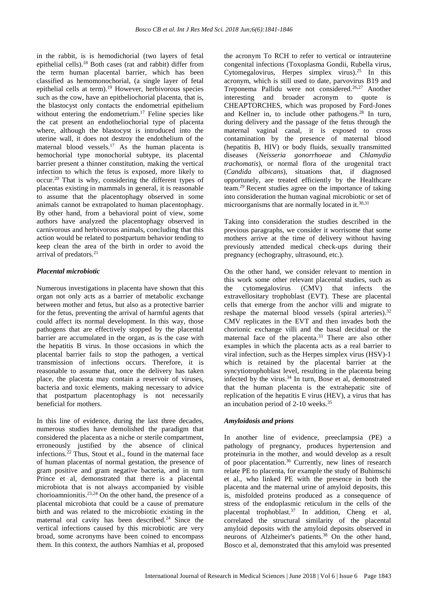in the rabbit, is is hemodichorial (two layers of fetal epithelial cells).<sup>18</sup> Both cases (rat and rabbit) differ from the term human placental barrier, which has been classified as hemomonochorial, (a single layer of fetal epithelial cells at term).<sup>19</sup> However, herbivorous species such as the cow, have an epitheliochorial placenta, that is, the blastocyst only contacts the endometrial epithelium without entering the endometrium.<sup>17</sup> Feline species like the cat present an endotheliochorial type of placenta where, although the blastocyst is introduced into the uterine wall, it does not destroy the endothelium of the maternal blood vessels.<sup>17</sup> As the human placenta is hemochorial type monochorial subtype, its placental barrier present a thinner constitution, making the vertical infection to which the fetus is exposed, more likely to occur.<sup>20</sup> That is why, considering the different types of placentas existing in mammals in general, it is reasonable to assume that the placentophagy observed in some animals cannot be extrapolated to human placentophagy. By other hand, from a behavioral point of view, some authors have analyzed the placentophagy observed in carnivorous and herbivorous animals, concluding that this action would be related to postpartum behavior tending to keep clean the area of the birth in order to avoid the arrival of predators.<sup>21</sup>

#### *Placental microbiotic*

Numerous investigations in placenta have shown that this organ not only acts as a barrier of metabolic exchange between mother and fetus, but also as a protective barrier for the fetus, preventing the arrival of harmful agents that could affect its normal development. In this way, those pathogens that are effectively stopped by the placental barrier are accumulated in the organ, as is the case with the hepatitis B virus. In those occasions in which the placental barrier fails to stop the pathogen, a vertical transmission of infections occurs. Therefore, it is reasonable to assume that, once the delivery has taken place, the placenta may contain a reservoir of viruses, bacteria and toxic elements, making necessary to advice that postpartum placentophagy is not necessarily beneficial for mothers.

In this line of evidence, during the last three decades, numerous studies have demolished the paradigm that considered the placenta as a niche or sterile compartment, erroneously justified by the absence of clinical infections.<sup>22</sup> Thus, Stout et al., found in the maternal face of human placentas of normal gestation, the presence of gram positive and gram negative bacteria, and in turn Prince et al, demonstrated that there is a placental microbiota that is not always accompanied by visible chorioamnionitis.23,24 On the other hand, the presence of a placental microbiota that could be a cause of premature birth and was related to the microbiotic existing in the maternal oral cavity has been described.<sup>24</sup> Since the vertical infections caused by this microbiotic are very broad, some acronyms have been coined to encompass them. In this context, the authors Namhias et al, proposed the acronym To RCH to refer to vertical or intrauterine congenital infections (Toxoplasma Gondii, Rubella virus, Cytomegalovirus, Herpes simplex virus).<sup>25</sup> In this acronym, which is still used to date, parvovirus B19 and Treponema Pallidu were not considered.26,27 Another interesting and broader acronym to quote is CHEAPTORCHES, which was proposed by Ford-Jones and Kellner in, to include other pathogens.<sup>28</sup> In turn, during delivery and the passage of the fetus through the maternal vaginal canal, it is exposed to cross contamination by the presence of maternal blood (hepatitis B, HIV) or body fluids, sexually transmitted diseases (*Neisseria gonorrhoeae* and *Chlamydia trachomatis*), or normal flora of the urogenital tract (*Candida albicans*), situations that, if diagnosed opportunely, are treated efficiently by the Healthcare team.<sup>29</sup> Recent studies agree on the importance of taking into consideration the human vaginal microbiotic or set of microorganisms that are normally located in it.30,31

Taking into consideration the studies described in the previous paragraphs, we consider it worrisome that some mothers arrive at the time of delivery without having previously attended medical check-ups during their pregnancy (echography, ultrasound, etc.).

On the other hand, we consider relevant to mention in this work some other relevant placental studies, such as the cytomegalovirus (CMV) that infects the extravellositary trophoblast (EVT). These are placental cells that emerge from the anchor villi and migrate to reshape the maternal blood vessels (spiral arteries).<sup>32</sup> CMV replicates in the EVT and then invades both the chorionic exchange villi and the basal decidual or the maternal face of the placenta.<sup>33</sup> There are also other examples in which the placenta acts as a real barrier to viral infection, such as the Herpes simplex virus (HSV)-1 which is retained by the placental barrier at the syncytiotrophoblast level, resulting in the placenta being infected by the virus.<sup>34</sup> In turn, Bose et al, demonstrated that the human placenta is the extrahepatic site of replication of the hepatitis E virus (HEV), a virus that has an incubation period of 2-10 weeks.<sup>35</sup>

#### *Amyloidosis and prions*

In another line of evidence, preeclampsia (PE) a pathology of pregnancy, produces hypertension and proteinuria in the mother, and would develop as a result of poor placentation.<sup>36</sup> Currently, new lines of research relate PE to placenta, for example the study of Buhimschi et al., who linked PE with the presence in both the placenta and the maternal urine of amyloid deposits, this is, misfolded proteins produced as a consequence of stress of the endoplasmic reticulum in the cells of the placental trophoblast.<sup>37</sup> In addition, Cheng et al, correlated the structural similarity of the placental amyloid deposits with the amyloid deposits observed in neurons of Alzheimer's patients.<sup>38</sup> On the other hand, Bosco et al, demonstrated that this amyloid was presented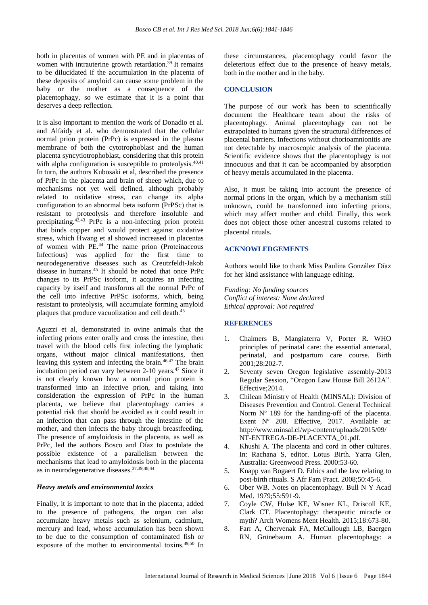both in placentas of women with PE and in placentas of women with intrauterine growth retardation.<sup>39</sup> It remains to be dilucidated if the accumulation in the placenta of these deposits of amyloid can cause some problem in the baby or the mother as a consequence of the placentophagy, so we estimate that it is a point that deserves a deep reflection.

It is also important to mention the work of Donadio et al. and Alfaidy et al. who demonstrated that the cellular normal prion protein (PrPc) is expressed in the plasma membrane of both the cytotrophoblast and the human placenta syncytiotrophoblast, considering that this protein with alpha configuration is susceptible to proteolysis.<sup>40,41</sup> In turn, the authors Kubosaki et al, described the presence of PrPc in the placenta and brain of sheep which, due to mechanisms not yet well defined, although probably related to oxidative stress, can change its alpha configuration to an abnormal beta isoform (PrPSc) that is resistant to proteolysis and therefore insoluble and precipitating.42,43 PrPc is a non-infecting prion protein that binds copper and would protect against oxidative stress, which Hwang et al showed increased in placentas of women with PE.<sup>44</sup> The name prion (Proteinaceous Infectious) was applied for the first time to neurodegenerative diseases such as Creutzfeldt-Jakob disease in humans.<sup>45</sup> It should be noted that once PrPc changes to its PrPSc isoform, it acquires an infecting capacity by itself and transforms all the normal PrPc of the cell into infective PrPSc isoforms, which, being resistant to proteolysis, will accumulate forming amyloid plaques that produce vacuolization and cell death.<sup>45</sup>

Aguzzi et al, demonstrated in ovine animals that the infecting prions enter orally and cross the intestine, then travel with the blood cells first infecting the lymphatic organs, without major clinical manifestations, then leaving this system and infecting the brain.<sup>46,47</sup> The brain incubation period can vary between  $2-10$  years.<sup>47</sup> Since it is not clearly known how a normal prion protein is transformed into an infective prion, and taking into consideration the expression of PrPc in the human placenta, we believe that placentophagy carries a potential risk that should be avoided as it could result in an infection that can pass through the intestine of the mother, and then infects the baby through breastfeeding. The presence of amyloidosis in the placenta, as well as PrPc, led the authors Bosco and Díaz to postulate the possible existence of a parallelism between the mechanisms that lead to amyloidosis both in the placenta as in neurodegenerative diseases.37,39,48,44

#### *Heavy metals and environmental toxics*

Finally, it is important to note that in the placenta, added to the presence of pathogens, the organ can also accumulate heavy metals such as selenium, cadmium, mercury and lead, whose accumulation has been shown to be due to the consumption of contaminated fish or exposure of the mother to environmental toxins.49,50 In these circumstances, placentophagy could favor the deleterious effect due to the presence of heavy metals, both in the mother and in the baby.

#### **CONCLUSION**

The purpose of our work has been to scientifically document the Healthcare team about the risks of placentophagy. Animal placentophagy can not be extrapolated to humans given the structural differences of placental barriers. Infections without chorioamnionitis are not detectable by macroscopic analysis of the placenta. Scientific evidence shows that the placentophagy is not innocuous and that it can be accompanied by absorption of heavy metals accumulated in the placenta.

Also, it must be taking into account the presence of normal prions in the organ, which by a mechanism still unknown, could be transformed into infecting prions, which may affect mother and child. Finally, this work does not object those other ancestral customs related to placental rituals.

#### **ACKNOWLEDGEMENTS**

Authors would like to thank Miss Paulina González Díaz for her kind assistance with language editing.

*Funding: No funding sources Conflict of interest: None declared Ethical approval: Not required*

#### **REFERENCES**

- 1. Chalmers B, Mangiaterra V, Porter R. WHO principles of perinatal care: the essential antenatal, perinatal, and postpartum care course. Birth 2001;28:202-7.
- 2. Seventy seven Oregon legislative assembly-2013 Regular Session, "Oregon Law House Bill 2612A". Effective;2014.
- 3. Chilean Ministry of Health (MINSAL): Division of Diseases Prevention and Control. General Technical Norm  $N^{\circ}$  189 for the handing-off of the placenta. Exent N° 208. Effective, 2017. Available at: http://www.minsal.cl/wp-content/uploads/2015/09/ NT-ENTREGA-DE-PLACENTA\_01.pdf.
- 4. Khushi A. The placenta and cord in other cultures. In: Rachana S, editor. Lotus Birth. Yarra Glen, Australia: Greenwood Press. 2000:53-60.
- 5. Knapp van Bogaert D. Ethics and the law relating to post-birth rituals. S Afr Fam Pract. 2008;50:45-6.
- 6. Ober WB. Notes on placentophagy. Bull N Y Acad Med. 1979;55:591-9.
- 7. Coyle CW, Hulse KE, Wisner KL, Driscoll KE, Clark CT. Placentophagy: therapeutic miracle or myth? Arch Womens Ment Health. 2015;18:673-80.
- 8. Farr A, Chervenak FA, McCullough LB, Baergen RN, Grünebaum A. Human placentophagy: a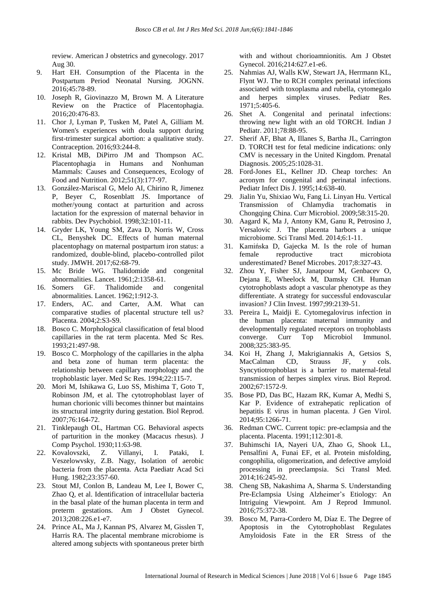review. American J obstetrics and gynecology. 2017 Aug 30.

- 9. Hart EH. Consumption of the Placenta in the Postpartum Period Neonatal Nursing. JOGNN. 2016;45:78-89.
- 10. Joseph R, Giovinazzo M, Brown M. A Literature Review on the Practice of Placentophagia. 2016;20:476-83.
- 11. Chor J, Lyman P, Tusken M, Patel A, Gilliam M. Women's experiences with doula support during first-trimester surgical abortion: a qualitative study. Contraception. 2016;93:244-8.
- 12. Kristal MB, DiPirro JM and Thompson AC. Placentophagia in Humans and Nonhuman Mammals: Causes and Consequences, Ecology of Food and Nutrition. 2012;51(3):177-97.
- 13. González-Mariscal G, Melo AI, Chirino R, Jimenez P, Beyer C, Rosenblatt JS. Importance of mother/young contact at parturition and across lactation for the expression of maternal behavior in rabbits. Dev Psychobiol. 1998;32:101-11.
- 14. Gryder LK, Young SM, Zava D, Norris W, Cross CL, Benyshek DC. Effects of human maternal placentophagy on maternal postpartum iron status: a randomized, double-blind, placebo-controlled pilot study. JMWH. 2017;62:68-79.
- 15. Mc Bride WG. Thalidomide and congenital abnormalities. Lancet. 1961;2:1358-61.
- 16. Somers GF. Thalidomide and congenital abnormalities. Lancet. 1962;1:912-3.
- 17. Enders, AC. and Carter, A.M. What can comparative studies of placental structure tell us? Placenta. 2004;2:S3-S9.
- 18. Bosco C. Morphological classification of fetal blood capillaries in the rat term placenta. Med Sc Res. 1993;21:497-98.
- 19. Bosco C. Morphology of the capillaries in the alpha and beta zone of human term placenta: the relationship between capillary morphology and the trophoblastic layer. Med Sc Res. 1994;22:115-7.
- 20. Mori M, Ishikawa G, Luo SS, Mishima T, Goto T, Robinson JM, et al. The cytotrophoblast layer of human chorionic villi becomes thinner but maintains its structural integrity during gestation. Biol Reprod. 2007;76:164-72.
- 21. Tinklepaugh OL, Hartman CG. Behavioral aspects of parturition in the monkey (Macacus rhesus). J Comp Psychol. 1930;11:63-98.
- 22. Kovalovszki, Z. Villanyi, I. Pataki, I. Veszelowvsky, Z.B. Nagy, Isolation of aerobic bacteria from the placenta. Acta Paediatr Acad Sci Hung. 1982;23:357-60.
- 23. Stout MJ, Conlon B, Landeau M, Lee I, Bower C, Zhao Q, et al. Identification of intracellular bacteria in the basal plate of the human placenta in term and preterm gestations. Am J Obstet Gynecol. 2013;208:226.e1-e7.
- 24. Prince AL, Ma J, Kannan PS, Alvarez M, Gisslen T, Harris RA. The placental membrane microbiome is altered among subjects with spontaneous preter birth

with and without chorioamnionitis. Am J Obstet Gynecol. 2016;214:627.e1-e6.

- 25. Nahmias AJ, Walls KW, Stewart JA, Herrmann KL, Flynt WJ. The to RCH complex perinatal infections associated with toxoplasma and rubella, cytomegalo and herpes simplex viruses. Pediatr Res. 1971;5:405-6.
- 26. Shet A. Congenital and perinatal infections: throwing new light with an old TORCH. Indian J Pediatr. 2011;78:88-95.
- 27. Sherif AF, Bhat A, Illanes S, Bartha JL, Carrington D. TORCH test for fetal medicine indications: only CMV is necessary in the United Kingdom. Prenatal Diagnosis. 2005;25:1028-31.
- 28. Ford-Jones EL, Kellner JD. Cheap torches: An acronym for congenital and perinatal infections. Pediatr Infect Dis J. 1995;14:638-40.
- 29. Jialin Yu, Shixiao Wu, Fang Li. Linyan Hu. Vertical Transmission of Chlamydia trachomatis in Chongqing China. Curr Microbiol. 2009;58:315-20.
- 30. Aagard K, Ma J, Antony KM, Ganu R, Petrosino J, Versalovic J. The placenta harbors a unique microbiome. Sci Transl Med. 2014;6:1-11.
- 31. Kamińska D, Gajecka M. Is the role of human female reproductive tract microbiota underestimated? Benef Microbes. 2017;8:327-43.
- 32. Zhou Y, Fisher SJ, Janatpour M, Genbacev O, Dejana E, Wheelock M, Damsky CH. Human cytotrophoblasts adopt a vascular phenotype as they differentiate. A strategy for successful endovascular invasion? J Clin Invest. 1997;99:2139-51.
- 33. Pereira L, Maidji E. Cytomegalovirus infection in the human placenta: maternal immunity and developmentally regulated receptors on trophoblasts converge. Curr Top Microbiol Immunol. 2008;325:383-95.
- 34. Koi H, Zhang J, Makrigiannakis A, Getsios S, MacCalman CD, Strauss JF, y cols. Syncytiotrophoblast is a barrier to maternal-fetal transmission of herpes simplex virus. Biol Reprod. 2002;67:1572-9.
- 35. Bose PD, Das BC, Hazam RK, Kumar A, Medhi S, Kar P. Evidence of extrahepatic replication of hepatitis E virus in human placenta. J Gen Virol. 2014;95:1266-71.
- 36. Redman CWC. Current topic: pre-eclampsia and the placenta. Placenta. 1991;112:301-8.
- 37. Buhimschi IA, Nayeri UA, Zhao G, Shook LL, Pensalfini A, Funai EF, et al. Protein misfolding, congophilia, oligomerization, and defective amyloid processing in preeclampsia. Sci Transl Med. 2014;16:245-92.
- 38. Cheng SB, Nakashima A, Sharma S. Understanding Pre-Eclampsia Using Alzheimer's Etiology: An Intriguing Viewpoint. Am J Reprod Immunol. 2016;75:372-38.
- 39. Bosco M, Parra-Cordero M, Díaz E. The Degree of Apoptosis in the Cytotrophoblast Regulates Amyloidosis Fate in the ER Stress of the